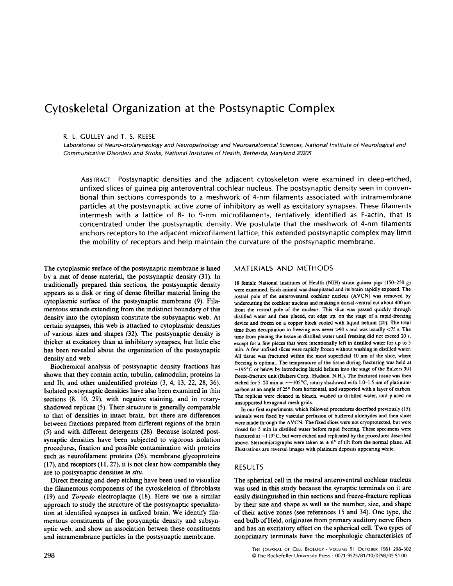# Cytoskeletal Organization at the Postsynaptic Complex

#### R. L. GULLEY and T. S. REESE

Laboratories of Neuro-otolaryngology and Neuropathology and Neuroanatomical Sciences, National Institute of Neurological and Communicative Disorders and Stroke, National Institutes of Health, Bethesda, Maryland 20205

ABSTRACT Postsynaptic densities and the adjacent cytoskeleton were examined in deep-etched, unfixed slices of guinea pig anteroventral cochlear nucleus. The postsynaptic density seen in conventional thin sections corresponds to a meshwork of 4-nm filaments associated with intramembrane particles at the postsynaptic active zone of inhibitory as well as excitatory synapses. These filaments intermesh with a lattice of 8- to 9-nm microfilaments, tentatively identified as F-actin, that is concentrated under the postsynaptic density. We postulate that the meshwork of 4-nm filaments anchors receptors to the adjacent microfilament lattice; this extended postsynaptic complex may limit the mobility of receptors and help maintain the curvature of the postsynaptic membrane .

The cytoplasmic surface of the postsynaptic membrane is lined by a mat of dense material, the postsynaptic density (31). In traditionally prepared thin sections, the postsynaptic density appears as a disk or ring of dense fibrillar material lining the cytoplasmic surface of the postsynaptic membrane (9). Filamentous strands extending from the indistinct boundary of this density into the cytoplasm constitute the subsynaptic web. At certain synapses, this web is attached to cytoplasmic densities of various sizes and shapes (32) . The postsynaptic density is thicker at excitatory than at inhibitory synapses, but little else has been revealed about the organization of the postsynaptic density and web.

Biochemical analysis of postsynaptic density fractions has shown that they contain actin, tubulin, calmodulin, proteins la and Ib, and other unidentified proteins (3, 4, 13, 22, 28, 36) . Isolated postsynaptic densities have also been examined in thin sections (8, 10, 29), with negative staining, and in rotaryshadowed replicas (5). Their structure is generally comparable to that of densities in intact brain, but there are differences between fractions prepared from different regions of the brain (5) and with different detergents (28) . Because isolated postsynaptic densities have been subjected to vigorous isolation procedures, fixation and possible contamination with proteins such as neurofilament proteins (26), membrane glycoproteins (17), and receptors (11, 27), it is not clear how comparable they are to postsynaptic densities in situ.

Direct freezing and deep etching have been used to visualize the filamentous components of the cytoskeleton of fibroblasts (19) and Torpedo electroplaque (18) . Here we use a similar approach to study the structure of the postsynaptic specialization at identified synapses in unfixed brain . We identify filamentous constituents of the potsynaptic density and subsynaptic web, and show an association betwen these constituents and intramembrane particles in the postsynaptic membrane.

# MATERIALS AND METHODS

18 female National Institutes of Health (NIH) strain guinea pigs (150-250 g) were examined. Each animal was decapitated and its brain rapidly exposed. The rostral pole of the anteroventral cochlear nucleus (AVCN) was removed by undercutting the cochlear nucleus and making a dorsal-ventral cut about  $400 \mu m$ from the rostral pole of the nucleus. This slice was passed quickly through distilled water and then placed, cut edge up, on the stage of a rapid-freezing device and frozen on a copper block cooled with liquid helium (20). The total time from decapitation to freezing was never >90 s and was usually <75 s. The time from placing the tissue in distilled water until freezing did not exceed 20 s, except for a few pieces that were intentionally left in distilled water for up to <sup>5</sup> min Afew unfixed slices were rapidly frozen without washing in distilled water. All tissue was fractured within the most superficial  $10 \mu m$  of the slice, where freezing is optimal. The temperature of the tissue during fracturing was held at -195°C or below by introducing liquid helium into the stage of the Balzers 301 freeze-fracture unit (Balzers Corp., Hudson, N.H .) . The fractured tissue wasthen etched for 5-20 min at  $\sim$ -105°C, rotary shadowed with 1.0-1.5 nm of platinumcarbon at an angle of 25° from horizontal, and supported with a layer of carbon. The replicas were cleaned in bleach, washed in distilled water, and placed on unsupported hexagonal mesh grids.

In our first experiments, which followed procedures described previously (15), animals were fixed by vascular perfusion of buffered aldehydes and then slices were made through the AVCN. The fixed slices were not cryoprotected, but were rinsed for <sup>5</sup> min in distilled water before rapid freezing. These specimens were fractured at  $-119^{\circ}$ C, but were etched and replicated by the procedures described above. Stereomicrographs were taken at  $\pm$  6° of tilt from the normal plane. All illustrations are reversal images with platinum deposits appearing white.

### RESULTS

The spherical cell in the rostral anteroventral cochlear nucleus was used in this study because the synaptic terminals on it are easily distinguished in thin sections and freeze-fracture replicas by their size and shape as well as the number, size, and shape of their active zones (see references <sup>15</sup> and 34) . One type, the end bulb of Held, originates from primary auditory nerve fibers and has an excitatory effect on the spherical cell. Two types of nonprimary terminals have the morphologic characterisics of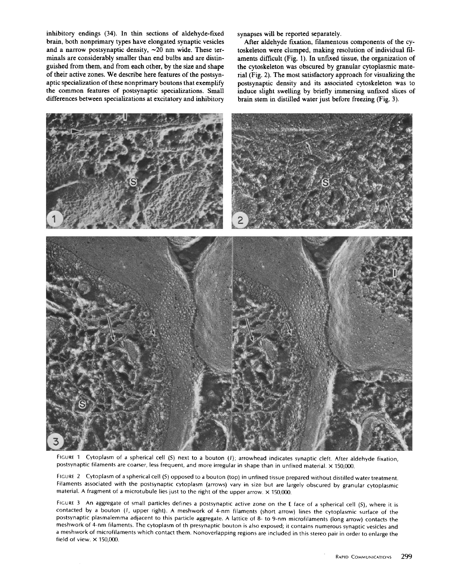inhibitory endings (34). In thin sections of aldehyde-fixed brain, both nonprimary types have elongated synaptic vesicles and a narrow postsynaptic density,  $\sim$  20 nm wide. These terminals are considerably smaller than end bulbs and are distinguished from them, and from each other, by the size and shape of their active zones. We describe here features of the postsynaptic specialization of these nonprimary boutons that exemplify the common features of postsynaptic specializations. Small differences between specializations at excitatory and inhibitory synapses will be reported separately

After aldehyde fixation, filamentous components of the cytoskeleton were clumped, making resolution of individual filaments difficult (Fig. 1) . In unfixed tissue, the organization of the cytoskeleton was obscured by granular cytoplasmic material (Fig. 2). The most satisfactory approach for visualizing the postsynaptic density and its associated cytoskeleton was to induce slight swelling by briefly immersing unfixed slices of brain stem in distilled water just before freezing (Fig. 3).



FIGURE 1 Cytoplasm of a spherical cell (S) next to a bouton (I); arrowhead indicates synaptic cleft. After aldehyde fixation, postsynaptic filaments are coarser, less frequent, and more irregular in shape than in unfixed material. × 150,000.

FIGURE 2 Cytoplasm of a spherical cell (S) opposed to a bouton (top) in unfixed tissue prepared without distilled water treatment.<br>Filaments associated with the postsynaptic cytoplasm (arrows) vary in size but are largely

FIGURE <sup>3</sup> An aggregate of small particles defines <sup>a</sup> postsynaptic active zone on the <sup>E</sup> face of <sup>a</sup> spherical cell (S), where it is contacted by a bouton (I, upper right). A meshwork of 4-nm filaments (short arrow) lines the cytoplasmic surface of the postsynaptic plasmalemma adjacent to this particle aggregate . A lattice of 8- to 9-nm microfilaments (long arrow) contacts the meshwork of 4-nm filaments. The cytoplasm of th presynaptic bouton is also exposed; it contains numerous synaptic vesicles and <sup>a</sup> meshwork of microfilaments which contact them. Nonoverlapping regions are included in this stereo pair in order to enlarge the field of view.  $\times$  150,000.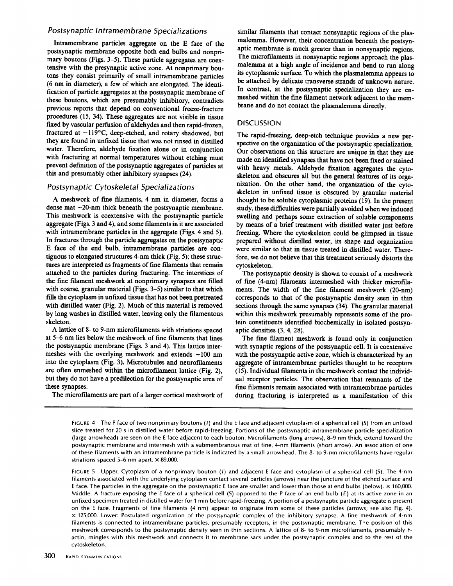# Postsynaptic Intramembrane Specializations

Intramembrane particles aggregate on the E face of the postsynaptic membrane opposite both end bulbs and nonprimary boutons (Figs. 3-5). These particle aggregates are coextensive with the presynaptic active zone. At nonprimary boutons they consist primarily of small intramembrane particles (6 nm in diameter), a few of which are elongated. The identification of particle aggregates at the postsynaptic membrane of these boutons, which are presumably inhibitory, contradicts previous reports that depend on conventional freeze-fracture procedures (15, 34) . These aggregates are not visible in tissue fixed by vascular perfusion of aldehydes and then rapid-frozen, fractured at  $-119^{\circ}$ C, deep-etched, and rotary shadowed, but they are found in unfixed tissue that was not rinsed in distilled water. Therefore, aldehyde fixation alone or in conjunction with fracturing at normal temperatures without etching must prevent definition of the postsynaptic aggregates of particles at this and presumably other inhibitory synapses (24) .

# Postsynaptic Cytoskeletal Specializations

A meshwork of fine filaments, <sup>4</sup> nm in diameter, forms <sup>a</sup> dense mat  $\sim$ 20-nm thick beneath the postsynaptic membrane. This meshwork is coextensive with the postsynaptic particle aggregate (Figs. 3 and 4), and some filaments in it are associated with intramembrane particles in the aggregate (Figs. 4 and 5). In fractures through the particle aggregates on the postsynaptic E face of the end bulb, intramembrane particles are contiguous to elongated structures 4-nm thick (Fig. 5); these structures are interpreted as fragments of fine filaments that remain attached to the particles during fracturing. The interstices of the fine filament meshwork at nonprimary synapses are filled with coarse, granular material (Figs. 3–5) similar to that which fills the cytoplasm in unfixed tissue that has not been pretreated with distilled water (Fig. 2). Much of this material is removed by long washes in distilled water, leaving only the filamentous skeleton.

A lattice of 8- to 9-nm microfilaments with striations spaced at 5-6 nm lies below the meshwork of fine filaments that lines the postsynaptic membrane (Figs. 3 and 4). This lattice intermeshes with the overlying meshwork and extends  $\sim$ 100 nm into the cytoplasm (Fig. 3). Microtubules and neurofilaments are often enmeshed within the microfilament lattice (Fig. 2), but they do not have a predilection for the postsynaptic area of these synapses.

The microfilaments are part of a larger cortical meshwork of

similar filaments that contact nonsynaptic regions of the plasmalemma. However, their concentration beneath the postsynaptic membrane is much greater than in nonsynaptic regions. The microfilaments in nonsynaptic regions approach the plasmalemma at a high angle of incidence and bend to run along its cytoplasmic surface. To which the plasmalemma appears to be attached by delicate transverse strands of unknown nature. In contrast, at the postsynaptic specialization they are enmeshed within the fine filament network adjacent to the membrane and do not contact the plasmalemma directly.

#### **DISCUSSION**

The rapid-freezing, deep-etch technique provides a new per-<br>spective on the organization of the postsynaptic specialization. Our observations on this structure are unique in that they are made on identified synapses that have not been fixed or stained with heavy metals. Aldehyde fixation aggregates the cyto skeleton and obscures all but the general features of its organization . On the other hand, the organization of the cytoskeleton in unfixed tissue is obscured by granular material thought to be soluble cytoplasmic proteins (19). In the present study, these difficulties were partially avoided when we induced swelling and perhaps some extraction of soluble components by means of a brief treatment with distilled water just before freezing. Where the cytoskeleton could be glimpsed in tissue prepared without distilled water, its shape and organization were similar to that in tissue treated in distilled water. Therefore, we do not believe that this treatment seriously distorts the cytoskeleton.

The postsynaptic density is shown to consist of a meshwork of fine (4-nm) filaments intermeshed with thicker microfilaments. The width of the fine filament meshwork (20-nm) corresponds to that of the postsynaptic density seen in thin sections through the same synapses (34). The granular material within this meshwork presumably represents some of the protein constituents identified biochemically in isolated postsynaptic densities (3, 4, 28) .

The fine filament meshwork is found only in conjunction with synaptic regions of the postsynaptic cell. It is coextensive with the postsynaptic active zone, which is characterized by an aggregate of intramembrane particles thought to be receptors (15) . Individual filaments in the meshwork contact the individual receptor particles. The observation that remnants of the fine filaments remain associated with intramembrane particles during fracturing is interpreted as a manifestation of this

FIGURE 4 The P face of two nonprimary boutons (1) and the <sup>E</sup> face and adjacent cytoplasm of a spherical cell (S) from an unfixed slice treated for 20 s in distilled water before rapid-freezing . Portions of the postsynaptic intramembrane particle specialization (large arrowhead) are seen on the E face adjacent to each bouton Microfilaments (long arrows), 8-9 nm thick, extend toward the postsynaptic membrane and intermesh with a submembranous mat of fine, 4-nm filaments (short arrow) . An association of one of these filaments with an intramembrane particle is indicated by a small arrowhead. The 8- to 9-nm microfilaments have regular striations spaced 5-6 nm apart.  $\times$  89,000.

FIGURE 5 Upper: Cytoplasm of a nonprimary bouton (1) and adjacent E face and cytoplasm of a spherical cell (S). The 4-nm filaments associated with the underlying cytoplasm contact several particles (arrows) near the juncture of the etched surface and E face The particles in the aggregate on the postsynaptic <sup>E</sup> face are smaller and lower than those at end bulbs (below). x 160,000. Middle: A fracture exposing the E face of a spherical cell  $(5)$  opposed to the P face of an end bulb  $(E)$  at its active zone in an unfixed specimen treated in distilled water for <sup>1</sup> min before rapid-freezing. A portion of a postsynaptic particle aggregate is present on the E face. Fragments of fine filaments (4 nm) appear to originate from some of these particles (arrows; see also Fig. 4). X 125,000. Lower: Postulated organization of the postsynaptic complex of the inhibitory synapse. A fine meshwork of 4-nm filaments is connected to intramembrane particles, presumably receptors, in the postsynaptic membrane. The position of this meshwork corresponds to the postsynaptic density seen in thin sections. A lattice of 8- to 9-nm microfilaments, presumably Factin, mingles with this meshwork and connects it to membrane sacs under the postsynaptic complex and to the rest of the cytoskeleton.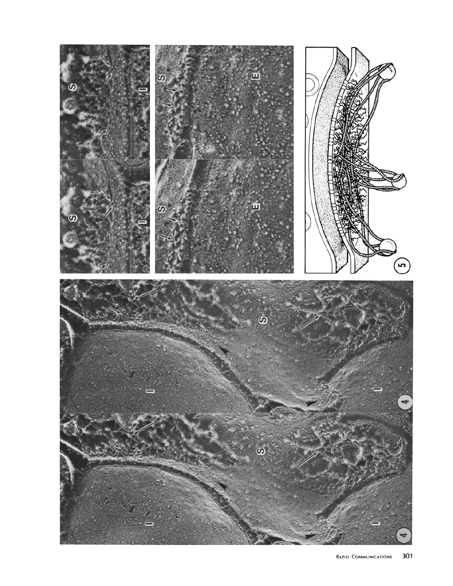